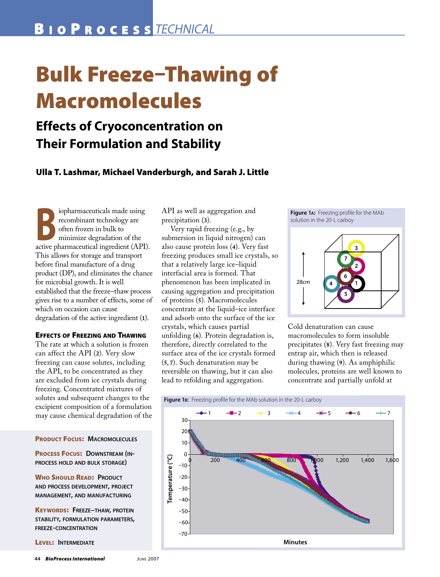# **Bulk Freeze-Thawing of Macromolecules**

# **Effects of Cryoconcentration on Their Formulation and Stability**

# Ulla T. Lashmar, Michael Vanderburgh, and Sarah J. Little

iopharmaceuticals made using recombinant technology are often frozen in bulk to minimize degradation of the active pharmaceutical ingredient (API). This allows for storage and transport before final manufacture of a drug product (DP), and eliminates the chance for microbial growth. It is well established that the freeze-thaw process gives rise to a number of effects, some of which on occasion can cause degradation of the active ingredient (1).

#### **EFFECTS OF FREEZING AND THAWING**

The rate at which a solution is frozen can affect the API (2). Very slow freezing can cause solutes, including the API, to be concentrated as they are excluded from ice crystals during freezing. Concentrated mixtures of solutes and subsequent changes to the excipient composition of a formulation may cause chemical degradation of the

**PRODUCT FOCUS: MACROMOLECULES** 

**PROCESS FOCUS: DOWNSTREAM (IN-**PROCESS HOLD AND BULK STORAGE)

**WHO SHOULD READ: PRODUCT** AND PROCESS DEVELOPMENT, PROJECT MANAGEMENT, AND MANUFACTURING

**KEYWORDS: FREEZE-THAW, PROTEIN** STABILITY, FORMULATION PARAMETERS, **FREEZE-CONCENTRATION** 

LEVEL: INTERMEDIATE

API as well as aggregation and precipitation (3).

Very rapid freezing (e.g., by submersion in liquid nitrogen) can also cause protein loss (4). Very fast freezing produces small ice crystals, so that a relatively large ice-liquid interfacial area is formed. That phenomenon has been implicated in causing aggregation and precipitation of proteins (5). Macromolecules concentrate at the liquid-ice interface and adsorb onto the surface of the ice crystals, which causes partial unfolding (6). Protein degradation is, therefore, directly correlated to the surface area of the ice crystals formed  $(5, 7)$ . Such denaturation may be reversible on thawing, but it can also lead to refolding and aggregation.





Cold denaturation can cause macromolecules to form insoluble precipitates (8). Very fast freezing may entrap air, which then is released during thawing (9). As amphiphilic molecules, proteins are well known to concentrate and partially unfold at

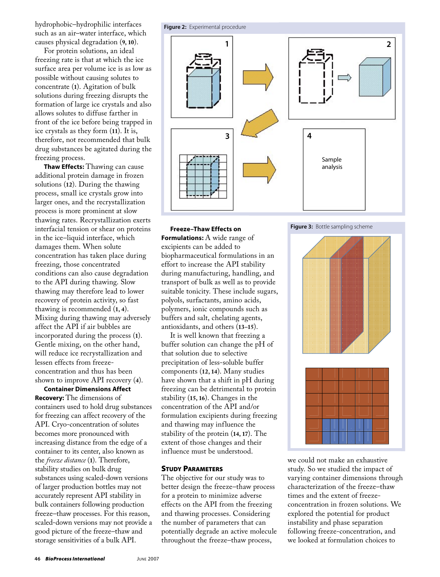hydrophobic–hydrophilic interfaces such as an air–water interface, which causes physical degradation (**9, 10**).

For protein solutions, an ideal freezing rate is that at which the ice surface area per volume ice is as low as possible without causing solutes to concentrate (**1**). Agitation of bulk solutions during freezing disrupts the formation of large ice crystals and also allows solutes to diffuse farther in front of the ice before being trapped in ice crystals as they form (**11**). It is, therefore, not recommended that bulk drug substances be agitated during the freezing process.

**Thaw Effects:** Thawing can cause additional protein damage in frozen solutions (**12**). During the thawing process, small ice crystals grow into larger ones, and the recrystallization process is more prominent at slow thawing rates. Recrystallization exerts interfacial tension or shear on proteins in the ice–liquid interface, which damages them. When solute concentration has taken place during freezing, those concentrated conditions can also cause degradation to the API during thawing. Slow thawing may therefore lead to lower recovery of protein activity, so fast thawing is recommended (**1, 4**). Mixing during thawing may adversely affect the API if air bubbles are incorporated during the process (**1**). Gentle mixing, on the other hand, will reduce ice recrystallization and lessen effects from freezeconcentration and thus has been shown to improve API recovery (**4**).

**Container Dimensions Affect Recovery:** The dimensions of containers used to hold drug substances for freezing can affect recovery of the API. Cryo-concentration of solutes becomes more pronounced with increasing distance from the edge of a container to its center, also known as the *freeze distance* (**1**). Therefore, stability studies on bulk drug substances using scaled-down versions of larger production bottles may not accurately represent API stability in bulk containers following production freeze–thaw processes. For this reason, scaled-down versions may not provide a good picture of the freeze–thaw and storage sensitivities of a bulk API.



**Freeze–Thaw Effects on Formulations:** A wide range of excipients can be added to biopharmaceutical formulations in an effort to increase the API stability during manufacturing, handling, and transport of bulk as well as to provide suitable tonicity. These include sugars, polyols, surfactants, amino acids, polymers, ionic compounds such as buffers and salt, chelating agents, antioxidants, and others (**13–15**).

It is well known that freezing a buffer solution can change the pH of that solution due to selective precipitation of less-soluble buffer components (**12, 14**). Many studies have shown that a shift in pH during freezing can be detrimental to protein stability (**15, 16**). Changes in the concentration of the API and/or formulation excipients during freezing and thawing may influence the stability of the protein (**14, 17**). The extent of those changes and their influence must be understood.

## STUDY PARAMETERS

The objective for our study was to better design the freeze–thaw process for a protein to minimize adverse effects on the API from the freezing and thawing processes. Considering the number of parameters that can potentially degrade an active molecule throughout the freeze–thaw process,



we could not make an exhaustive study. So we studied the impact of varying container dimensions through characterization of the freeze–thaw times and the extent of freezeconcentration in frozen solutions. We explored the potential for product instability and phase separation following freeze-concentration, and we looked at formulation choices to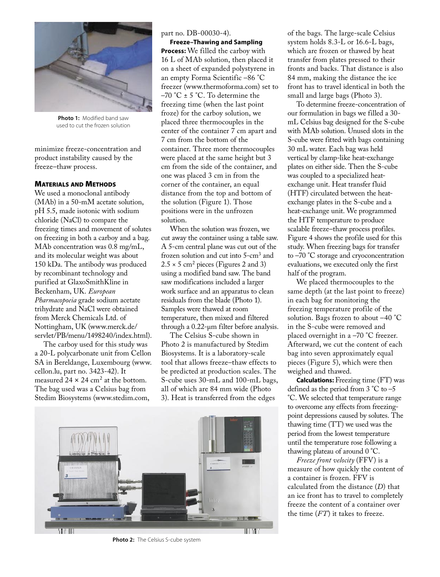

**Photo 1:** Modified band saw used to cut the frozen solution

minimize freeze-concentration and product instability caused by the freeze–thaw process.

#### MATERIALS AND METHODS

We used a monoclonal antibody (MAb) in a 50-mM acetate solution, pH 5.5, made isotonic with sodium chloride (NaCl) to compare the freezing times and movement of solutes on freezing in both a carboy and a bag. MAb concentration was 0.8 mg/mL, and its molecular weight was about 150 kDa. The antibody was produced by recombinant technology and purified at GlaxoSmithKline in Beckenham, UK. *European Pharmacopoeia* grade sodium acetate trihydrate and NaCl were obtained from Merck Chemicals Ltd. of Nottingham, UK (www.merck.de/ servlet/PB/menu/1498240/index.html).

The carboy used for this study was a 20-L polycarbonate unit from Cellon SA in Bereldange, Luxembourg (www. cellon.lu, part no. 3423-42). It measured  $24 \times 24$  cm<sup>2</sup> at the bottom. The bag used was a Celsius bag from Stedim Biosystems (www.stedim.com,

part no. DB-00030-4).

**Freeze–Thawing and Sampling Process:** We filled the carboy with 16 L of MAb solution, then placed it on a sheet of expanded polystyrene in an empty Forma Scientific –86 °C freezer (www.thermoforma.com) set to  $-70$  °C  $\pm$  5 °C. To determine the freezing time (when the last point froze) for the carboy solution, we placed three thermocouples in the center of the container 7 cm apart and 7 cm from the bottom of the container. Three more thermocouples were placed at the same height but 3 cm from the side of the container, and one was placed 3 cm in from the corner of the container, an equal distance from the top and bottom of the solution (Figure 1). Those positions were in the unfrozen solution.

When the solution was frozen, we cut away the container using a table saw. A 5-cm central plane was cut out of the frozen solution and cut into 5-cm<sup>3</sup> and  $2.5 \times 5$  cm<sup>2</sup> pieces (Figures 2 and 3) using a modified band saw. The band saw modifications included a larger work surface and an apparatus to clean residuals from the blade (Photo 1). Samples were thawed at room temperature, then mixed and filtered through a 0.22-µm filter before analysis.

The Celsius S-cube shown in Photo 2 is manufactured by Stedim Biosystems. It is a laboratory-scale tool that allows freeze–thaw effects to be predicted at production scales. The S-cube uses 30-mL and 100-mL bags, all of which are 84 mm wide (Photo 3). Heat is transferred from the edges



**Photo 2:** The Celsius S-cube system

of the bags. The large-scale Celsius system holds 8.3-L or 16.6-L bags, which are frozen or thawed by heat transfer from plates pressed to their fronts and backs. That distance is also 84 mm, making the distance the ice front has to travel identical in both the small and large bags (Photo 3).

To determine freeze-concentration of our formulation in bags we filled a 30 mL Celsius bag designed for the S-cube with MAb solution. Unused slots in the S-cube were fitted with bags containing 30 mL water. Each bag was held vertical by clamp-like heat-exchange plates on either side. Then the S-cube was coupled to a specialized heatexchange unit. Heat transfer fluid (HTF) circulated between the heatexchange plates in the S-cube and a heat-exchange unit. We programmed the HTF temperature to produce scalable freeze–thaw process profiles. Figure 4 shows the profile used for this study. When freezing bags for transfer to –70 °C storage and cryoconcentration evaluations, we executed only the first half of the program.

We placed thermocouples to the same depth (at the last point to freeze) in each bag for monitoring the freezing temperature profile of the solution. Bags frozen to about –40 °C in the S-cube were removed and placed overnight in a –70 °C freezer. Afterward, we cut the content of each bag into seven approximately equal pieces (Figure 5), which were then weighed and thawed.

**Calculations:** Freezing time (FT) was defined as the period from 3 °C to –5 °C. We selected that temperature range to overcome any effects from freezingpoint depressions caused by solutes. The thawing time (TT) we used was the period from the lowest temperature until the temperature rose following a thawing plateau of around 0 °C.

*Freeze front velocity* (FFV) is a measure of how quickly the content of a container is frozen. FFV is calculated from the distance (*D*) that an ice front has to travel to completely freeze the content of a container over the time (*FT*) it takes to freeze.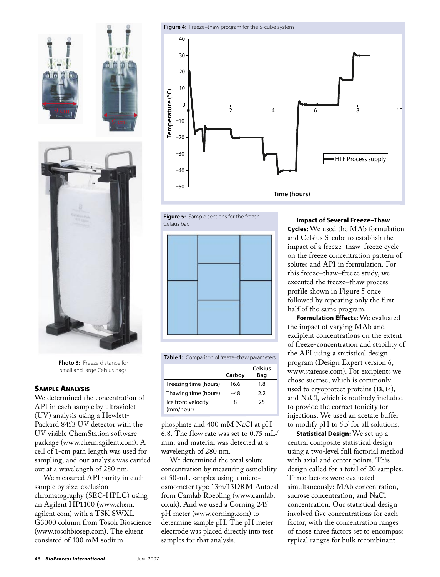





**Photo 3:** Freeze distance for small and large Celsius bags

## SAMPLE ANALYSIS

We determined the concentration of API in each sample by ultraviolet (UV) analysis using a Hewlett-Packard 8453 UV detector with the UV-visible ChemStation software package (www.chem.agilent.com). A cell of 1-cm path length was used for sampling, and our analysis was carried out at a wavelength of 280 nm.

We measured API purity in each sample by size-exclusion chromatography (SEC-HPLC) using an Agilent HP1100 (www.chem. agilent.com) with a TSK SWXL G3000 column from Tosoh Bioscience (www.tosohbiosep.com). The eluent consisted of 100 mM sodium









| <b>Table 1:</b> Comparison of freeze-thaw parameters |        |                       |  |  |  |  |  |
|------------------------------------------------------|--------|-----------------------|--|--|--|--|--|
|                                                      | Carboy | <b>Celsius</b><br>Bag |  |  |  |  |  |
| Freezing time (hours)                                | 16.6   | 1.8                   |  |  |  |  |  |
| Thawing time (hours)                                 | ~48    | 2.2                   |  |  |  |  |  |
| Ice front velocity<br>(mm/hour)                      | 8      | 25                    |  |  |  |  |  |

phosphate and 400 mM NaCl at pH 6.8. The flow rate was set to 0.75 mL/ min, and material was detected at a wavelength of 280 nm.

We determined the total solute concentration by measuring osmolality of 50-mL samples using a microosmometer type 13m/13DRM-Autocal from Camlab Roebling (www.camlab. co.uk). And we used a Corning 245 pH meter (www.corning.com) to determine sample pH. The pH meter electrode was placed directly into test samples for that analysis.

**Impact of Several Freeze–Thaw Cycles:** We used the MAb formulation and Celsius S-cube to establish the impact of a freeze–thaw–freeze cycle on the freeze concentration pattern of solutes and API in formulation. For this freeze–thaw–freeze study, we executed the freeze–thaw process profile shown in Figure 5 once followed by repeating only the first half of the same program.

**Formulation Effects:** We evaluated the impact of varying MAb and excipient concentrations on the extent of freeze-concentration and stability of the API using a statistical design program (Design Expert version 6, www.statease.com). For excipients we chose sucrose, which is commonly used to cryoprotect proteins (**13, 14**), and NaCl, which is routinely included to provide the correct tonicity for injections. We used an acetate buffer to modify pH to 5.5 for all solutions.

**Statistical Design:** We set up a central composite statistical design using a two-level full factorial method with axial and center points. This design called for a total of 20 samples. Three factors were evaluated simultaneously: MAb concentration, sucrose concentration, and NaCl concentration. Our statistical design involved five concentrations for each factor, with the concentration ranges of those three factors set to encompass typical ranges for bulk recombinant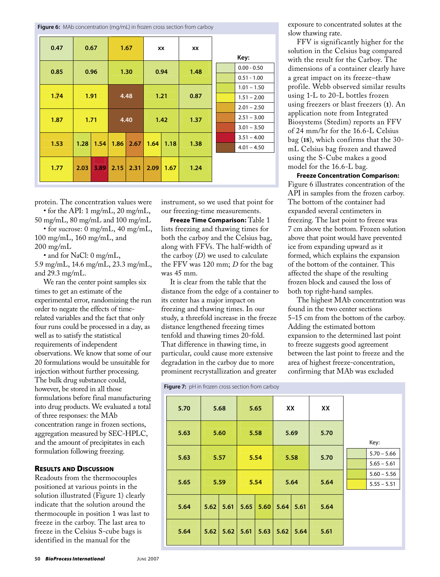Figure 6: MAb concentration (mg/mL) in frozen cross section from carboy

| 0.47 | 0.67 |      | 1.67 |      | XX   |      | XX   | Key:                                            |
|------|------|------|------|------|------|------|------|-------------------------------------------------|
| 0.85 | 0.96 |      | 1.30 |      | 0.94 |      | 1.48 | $0.00 - 0.50$<br>$0.51 - 1.00$                  |
| 1.74 | 1.91 |      |      | 4.48 |      | 1.21 | 0.87 | $1.01 - 1.50$<br>$1.51 - 2.00$<br>$2.01 - 2.50$ |
| 1.87 | 1.71 |      | 4.40 |      | 1.42 |      | 1.37 | $2.51 - 3.00$<br>$3.01 - 3.50$                  |
| 1.53 | 1.28 | 1.54 | 1.86 | 2.67 | 1.64 | 1.18 | 1.38 | $3.51 - 4.00$<br>$4.01 - 4.50$                  |
| 1.77 | 2.03 | 3.89 | 2.15 | 2.31 | 2.09 | 1.67 | 1.24 |                                                 |

protein. The concentration values were

 $\bullet$  for the API: 1 mg/mL, 20 mg/mL, 50 mg/mL, 80 mg/mL and 100 mg/mL

• for sucrose: 0 mg/mL, 40 mg/mL, 100 mg/mL, 160 mg/mL, and  $200 \text{ mg/mL}$ 

• and for NaCl: 0 mg/mL, 5.9 mg/mL, 14.6 mg/mL, 23.3 mg/mL, and  $29.3 \text{ mg/mL}$ .

We ran the center point samples six times to get an estimate of the experimental error, randomizing the run order to negate the effects of timerelated variables and the fact that only four runs could be processed in a day, as well as to satisfy the statistical requirements of independent observations. We know that some of our 20 formulations would be unsuitable for injection without further processing. The bulk drug substance could, however, be stored in all those formulations before final manufacturing into drug products. We evaluated a total of three responses: the MAb concentration range in frozen sections, aggregation measured by SEC-HPLC, and the amount of precipitates in each formulation following freezing.

## **RESULTS AND DISCUSSION**

Readouts from the thermocouples positioned at various points in the solution illustrated (Figure 1) clearly indicate that the solution around the thermocouple in position 1 was last to freeze in the carboy. The last area to freeze in the Celsius S-cube bags is identified in the manual for the

instrument, so we used that point for our freezing-time measurements.

Freeze Time Comparison: Table 1 lists freezing and thawing times for both the carboy and the Celsius bag, along with FFVs. The half-width of the carboy  $(D)$  we used to calculate the FFV was 120 mm; D for the bag was 45 mm.

It is clear from the table that the distance from the edge of a container to its center has a major impact on freezing and thawing times. In our study, a threefold increase in the freeze distance lengthened freezing times tenfold and thawing times 20-fold. That difference in thawing time, in particular, could cause more extensive degradation in the carboy due to more prominent recrystallization and greater

Figure  $7$ :  $nH$  in frozen cross section from carboy

exposure to concentrated solutes at the slow thawing rate.

FFV is significantly higher for the solution in the Celsius bag compared with the result for the Carboy. The dimensions of a container clearly have a great impact on its freeze-thaw profile. Webb observed similar results using 1-L to 20-L bottles frozen using freezers or blast freezers (1). An application note from Integrated Biosystems (Stedim) reports an FFV of 24 mm/hr for the 16.6-L Celsius bag (18), which confirms that the 30mL Celsius bag frozen and thawed using the S-Cube makes a good model for the 16.6-L bag.

**Freeze Concentration Comparison:** Figure 6 illustrates concentration of the API in samples from the frozen carboy. The bottom of the container had expanded several centimeters in freezing. The last point to freeze was 7 cm above the bottom. Frozen solution above that point would have prevented ice from expanding upward as it formed, which explains the expansion of the bottom of the container. This affected the shape of the resulting frozen block and caused the loss of both top right-hand samples.

The highest MAb concentration was found in the two center sections 5–15 cm from the bottom of the carboy. Adding the estimated bottom expansion to the determined last point to freeze suggests good agreement between the last point to freeze and the area of highest freeze-concentration, confirming that MAb was excluded

| $\cdots$ and $\cdots$ primitive consistent in error can be $\cdots$ |      |      |      |      |      |      |      |  |                                |
|---------------------------------------------------------------------|------|------|------|------|------|------|------|--|--------------------------------|
| 5.70                                                                | 5.68 |      | 5.65 |      | XX   |      | XX   |  |                                |
| 5.63                                                                | 5.60 |      | 5.58 |      | 5.69 |      | 5.70 |  | Key:                           |
| 5.63                                                                | 5.57 |      | 5.54 |      | 5.58 |      | 5.70 |  | $5.70 - 5.66$<br>$5.65 - 5.61$ |
| 5.65                                                                | 5.59 |      | 5.54 |      |      | 5.64 | 5.64 |  | $5.60 - 5.56$<br>$5.55 - 5.51$ |
| 5.64                                                                | 5.62 | 5.61 | 5.65 | 5.60 | 5.64 | 5.61 | 5.64 |  |                                |
| 5.64                                                                | 5.62 | 5.62 | 5.61 | 5.63 | 5.62 | 5.64 | 5.61 |  |                                |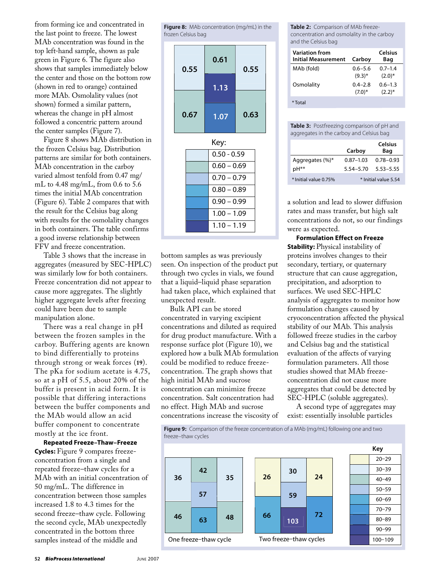from forming ice and concentrated in the last point to freeze. The lowest MAb concentration was found in the top left-hand sample, shown as pale green in Figure 6. The figure also shows that samples immediately below the center and those on the bottom row (shown in red to orange) contained more MAb. Osmolality values (not shown) formed a similar pattern, whereas the change in pH almost followed a concentric pattern around the center samples (Figure 7).

Figure 8 shows MAb distribution in the frozen Celsius bag. Distribution patterns are similar for both containers. MAb concentration in the carboy varied almost tenfold from 0.47 mg/ mL to  $4.48 \text{ mg/mL}$ , from 0.6 to 5.6 times the initial MAb concentration (Figure 6). Table 2 compares that with the result for the Celsius bag along with results for the osmolality changes in both containers. The table confirms a good inverse relationship between FFV and freeze concentration.

Table 3 shows that the increase in aggregates (measured by SEC-HPLC) was similarly low for both containers. Freeze concentration did not appear to cause more aggregates. The slightly higher aggregate levels after freezing could have been due to sample manipulation alone.

There was a real change in pH between the frozen samples in the carboy. Buffering agents are known to bind differentially to proteins through strong or weak forces (19). The pKa for sodium acetate is 4.75, so at a pH of 5.5, about 20% of the buffer is present in acid form. It is possible that differing interactions between the buffer components and the MAb would allow an acid buffer component to concentrate mostly at the ice front.

Repeated Freeze-Thaw-Freeze **Cycles:** Figure 9 compares freezeconcentration from a single and repeated freeze–thaw cycles for a MAb with an initial concentration of 50 mg/mL. The difference in concentration between those samples increased 1.8 to 4.3 times for the second freeze-thaw cycle. Following the second cycle, MAb unexpectedly concentrated in the bottom three samples instead of the middle and

Figure 8: MAb concentration (mg/mL) in the frozen Celsius bag



bottom samples as was previously seen. On inspection of the product put through two cycles in vials, we found that a liquid-liquid phase separation had taken place, which explained that unexpected result.

Bulk API can be stored concentrated in varying excipient concentrations and diluted as required for drug product manufacture. With a response surface plot (Figure 10), we explored how a bulk MAb formulation could be modified to reduce freezeconcentration. The graph shows that high initial MAb and sucrose concentration can minimize freeze concentration. Salt concentration had no effect. High MAb and sucrose concentrations increase the viscosity of Table 2: Comparison of MAb freezeconcentration and osmolality in the carboy and the Celsius bag

| <b>Variation from</b><br><b>Initial Measurement</b> | Carboy      | Celsius<br>Bag |
|-----------------------------------------------------|-------------|----------------|
| MAb (fold)                                          | $0.6 - 5.6$ | $0.7 - 1.4$    |
|                                                     | $(9.3)*$    | $(2.0)*$       |
| Osmolality                                          | $0.4 - 2.8$ | $0.6 - 1.3$    |
|                                                     | $(7.0)^*$   | $(2.2)^*$      |
| * Total                                             |             |                |

Table 3: Postfreezing comparison of pH and aggregates in the carboy and Celsius bag

|                       | Carboy               | <b>Celsius</b><br>Bag |  |
|-----------------------|----------------------|-----------------------|--|
| Aggregates (%)*       | $0.87 - 1.03$        | $0.78 - 0.93$         |  |
| pH**                  | $5.54 - 5.70$        | 5.53-5.55             |  |
| * Initial value 0.75% | * Initial value 5.54 |                       |  |

a solution and lead to slower diffusion rates and mass transfer, but high salt concentrations do not, so our findings were as expected.

**Formulation Effect on Freeze Stability:** Physical instability of proteins involves changes to their secondary, tertiary, or quaternary structure that can cause aggregation, precipitation, and adsorption to surfaces. We used SEC-HPLC analysis of aggregates to monitor how formulation changes caused by cryoconcentration affected the physical stability of our MAb. This analysis followed freeze studies in the carboy and Celsius bag and the statistical evaluation of the affects of varying formulation parameters. All those studies showed that MAb freezeconcentration did not cause more aggregates that could be detected by SEC-HPLC (soluble aggregates).

A second type of aggregates may exist: essentially insoluble particles

Figure 9: Comparison of the freeze concentration of a MAb (mg/mL) following one and two freeze-thaw cycles

26

66

30

59

103

 $24$ 

72



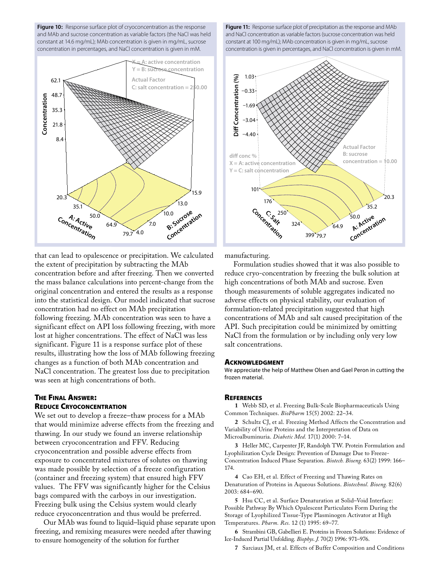Figure 10: Response surface plot of cryoconcentration as the response and MAb and sucrose concentration as variable factors (the NaCl was held constant at 14.6 mg/mL); MAb concentration is given in mg/mL, sucrose concentration in percentages, and NaCl concentration is given in mM.



that can lead to opalescence or precipitation. We calculated the extent of precipitation by subtracting the MAb concentration before and after freezing. Then we converted the mass balance calculations into percent-change from the original concentration and entered the results as a response into the statistical design. Our model indicated that sucrose concentration had no effect on MAb precipitation following freezing. MAb concentration was seen to have a significant effect on API loss following freezing, with more lost at higher concentrations. The effect of NaCl was less significant. Figure 11 is a response surface plot of these results, illustrating how the loss of MAb following freezing changes as a function of both MAb concentration and NaCl concentration. The greatest loss due to precipitation was seen at high concentrations of both.

## **THE FINAL ANSWER: REDUCE CRYOCONCENTRATION**

We set out to develop a freeze–thaw process for a MAb that would minimize adverse effects from the freezing and thawing. In our study we found an inverse relationship between cryoconcentration and FFV. Reducing cryoconcentration and possible adverse effects from exposure to concentrated mixtures of solutes on thawing was made possible by selection of a freeze configuration (container and freezing system) that ensured high FFV values. The FFV was significantly higher for the Celsius bags compared with the carboys in our investigation. Freezing bulk using the Celsius system would clearly reduce cryoconcentration and thus would be preferred.

Our MAb was found to liquid-liquid phase separate upon freezing, and remixing measures were needed after thawing to ensure homogeneity of the solution for further

Figure 11: Response surface plot of precipitation as the response and MAb and NaCl concentration as variable factors (sucrose concentration was held constant at 100 mg/mL); MAb concentration is given in mg/mL, sucrose concentration is given in percentages, and NaCl concentration is given in mM.



manufacturing.

Formulation studies showed that it was also possible to reduce cryo-concentration by freezing the bulk solution at high concentrations of both MAb and sucrose. Even though measurements of soluble aggregates indicated no adverse effects on physical stability, our evaluation of formulation-related precipitation suggested that high concentrations of MAb and salt caused precipitation of the API. Such precipitation could be minimized by omitting NaCl from the formulation or by including only very low salt concentrations.

#### **ACKNOWLEDGMENT**

We appreciate the help of Matthew Olsen and Gael Peron in cutting the frozen material.

#### **REFERENCES**

1 Webb SD, et al. Freezing Bulk-Scale Biopharmaceuticals Using Common Techniques. BioPharm 15(5) 2002: 22-34.

2 Schultz CJ, et al. Freezing Method Affects the Concentration and Variability of Urine Proteins and the Interpretation of Data on Microalbuminuria. Diabetic Med. 17(1) 2000: 7-14.

3 Heller MC, Carpenter JF, Randolph TW. Protein Formulation and Lyophilization Cycle Design: Prevention of Damage Due to Freeze-Concentration Induced Phase Separation. Biotech. Bioeng. 63(2) 1999: 166-174.

4 Cao EH, et al. Effect of Freezing and Thawing Rates on Denaturation of Proteins in Aqueous Solutions. Biotechnol. Bioeng. 82(6) 2003: 684-690.

5 Hsu CC, et al. Surface Denaturation at Solid-Void Interface: Possible Pathway By Which Opalescent Particulates Form During the Storage of Lyophilized Tissue-Type Plasminogen Activator at High Temperatures. Pharm. Res. 12 (1) 1995: 69-77.

6 Strambini GB, Gabellieri E. Proteins in Frozen Solutions: Evidence of Ice-Induced Partial Unfolding. Biophys. J. 70(2) 1996: 971-976.

7 Sarciaux JM, et al. Effects of Buffer Composition and Conditions